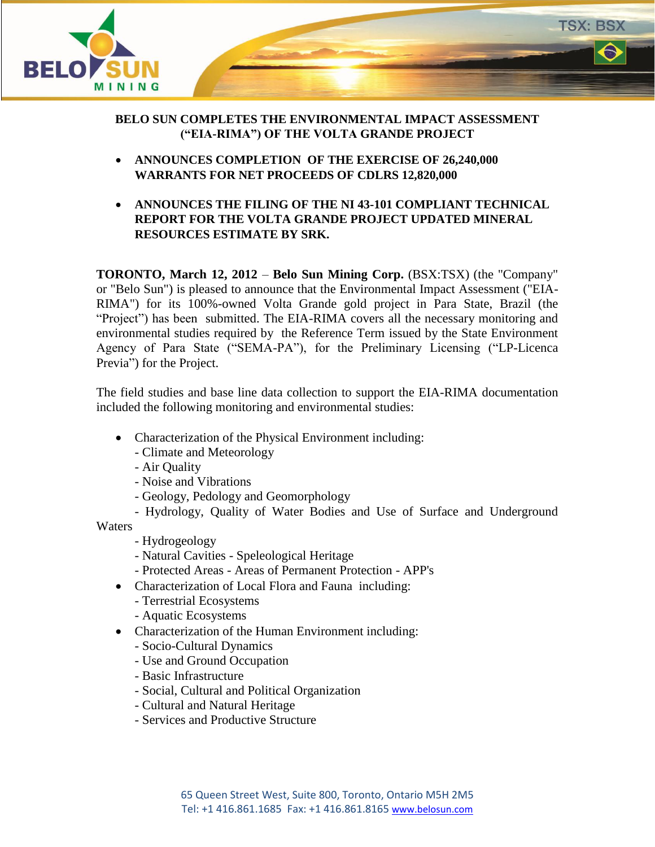

## **BELO SUN COMPLETES THE ENVIRONMENTAL IMPACT ASSESSMENT ("EIA-RIMA") OF THE VOLTA GRANDE PROJECT**

- **ANNOUNCES COMPLETION OF THE EXERCISE OF 26,240,000 WARRANTS FOR NET PROCEEDS OF CDLRS 12,820,000**
- **ANNOUNCES THE FILING OF THE NI 43-101 COMPLIANT TECHNICAL REPORT FOR THE VOLTA GRANDE PROJECT UPDATED MINERAL RESOURCES ESTIMATE BY SRK.**

**TORONTO, March 12, 2012** – **Belo Sun Mining Corp.** (BSX:TSX) (the "Company" or "Belo Sun") is pleased to announce that the Environmental Impact Assessment ("EIA-RIMA") for its 100%-owned Volta Grande gold project in Para State, Brazil (the "Project") has been submitted. The EIA-RIMA covers all the necessary monitoring and environmental studies required by the Reference Term issued by the State Environment Agency of Para State ("SEMA-PA"), for the Preliminary Licensing ("LP-Licenca Previa") for the Project.

The field studies and base line data collection to support the EIA-RIMA documentation included the following monitoring and environmental studies:

- Characterization of the Physical Environment including:
	- Climate and Meteorology
	- Air Quality
	- Noise and Vibrations
	- Geology, Pedology and Geomorphology

- Hydrology, Quality of Water Bodies and Use of Surface and Underground

**Waters** 

- Hydrogeology
- Natural Cavities Speleological Heritage
- Protected Areas Areas of Permanent Protection APP's
- Characterization of Local Flora and Fauna including:
	- Terrestrial Ecosystems
	- Aquatic Ecosystems
- Characterization of the Human Environment including:
	- Socio-Cultural Dynamics
	- Use and Ground Occupation
	- Basic Infrastructure
	- Social, Cultural and Political Organization
	- Cultural and Natural Heritage
	- Services and Productive Structure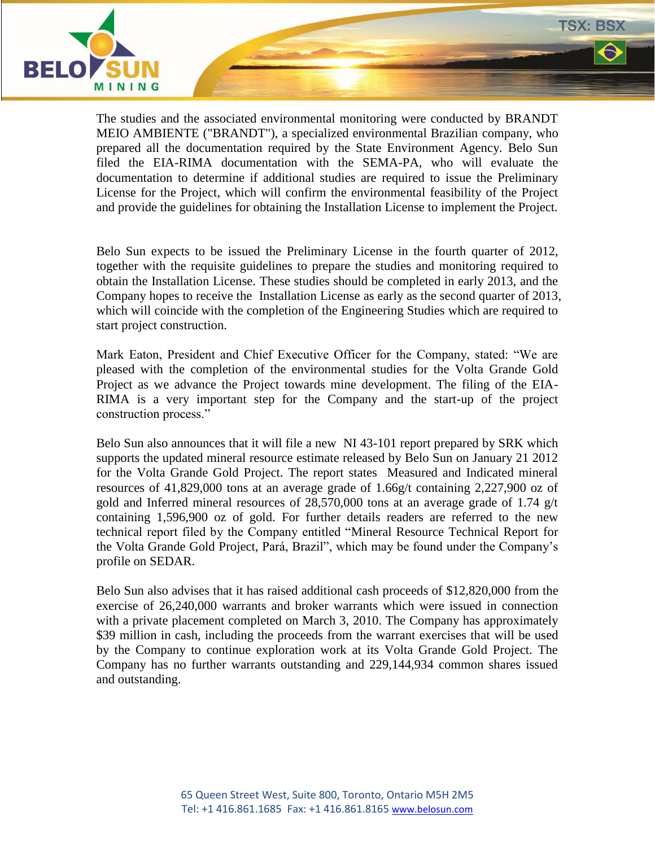

The studies and the associated environmental monitoring were conducted by BRANDT MEIO AMBIENTE ("BRANDT"), a specialized environmental Brazilian company, who prepared all the documentation required by the State Environment Agency. Belo Sun filed the EIA-RIMA documentation with the SEMA-PA, who will evaluate the documentation to determine if additional studies are required to issue the Preliminary License for the Project, which will confirm the environmental feasibility of the Project and provide the guidelines for obtaining the Installation License to implement the Project.

**TSX: BSX** 

Belo Sun expects to be issued the Preliminary License in the fourth quarter of 2012, together with the requisite guidelines to prepare the studies and monitoring required to obtain the Installation License. These studies should be completed in early 2013, and the Company hopes to receive the Installation License as early as the second quarter of 2013, which will coincide with the completion of the Engineering Studies which are required to start project construction.

Mark Eaton, President and Chief Executive Officer for the Company, stated: "We are pleased with the completion of the environmental studies for the Volta Grande Gold Project as we advance the Project towards mine development. The filing of the EIA-RIMA is a very important step for the Company and the start-up of the project construction process."

Belo Sun also announces that it will file a new NI 43-101 report prepared by SRK which supports the updated mineral resource estimate released by Belo Sun on January 21 2012 for the Volta Grande Gold Project. The report states Measured and Indicated mineral resources of 41,829,000 tons at an average grade of 1.66g/t containing 2,227,900 oz of gold and Inferred mineral resources of 28,570,000 tons at an average grade of 1.74 g/t containing 1,596,900 oz of gold. For further details readers are referred to the new technical report filed by the Company entitled "Mineral Resource Technical Report for the Volta Grande Gold Project, Pará, Brazil", which may be found under the Company's profile on SEDAR.

Belo Sun also advises that it has raised additional cash proceeds of \$12,820,000 from the exercise of 26,240,000 warrants and broker warrants which were issued in connection with a private placement completed on March 3, 2010. The Company has approximately \$39 million in cash, including the proceeds from the warrant exercises that will be used by the Company to continue exploration work at its Volta Grande Gold Project. The Company has no further warrants outstanding and 229,144,934 common shares issued and outstanding.